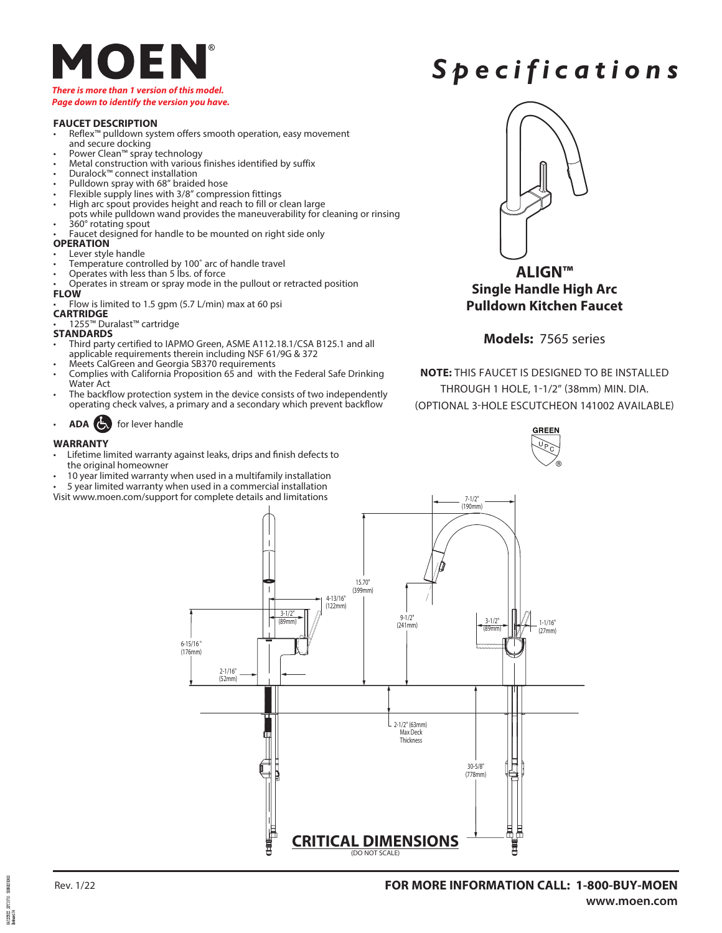

### *Page down to identify the version you have.*

#### **FAUCET DESCRIPTION**

- Reflex™ pulldown system offers smooth operation, easy movement and secure docking
- Power Clean™ spray technology
- Metal construction with various finishes identified by suffix
- Duralock™ connect installation
- Pulldown spray with 68" braided hose
- Flexible supply lines with 3/8" compression fittings
- High arc spout provides height and reach to fill or clean large pots while pulldown wand provides the maneuverability for cleaning or rinsing • 360° rotating spout
- Faucet designed for handle to be mounted on right side only

#### **OPERATION**

- Lever style handle
- Temperature controlled by 100° arc of handle travel
- Operates with less than 5 lbs. of force
- Operates in stream or spray mode in the pullout or retracted position **FLOW**
- Flow is limited to 1.5 gpm (5.7 L/min) max at 60 psi
- **CARTRIDGE**
- 1255™ Duralast™ cartridge

# **STANDARDS**

- Third party certified to IAPMO Green, ASME A112.18.1/CSA B125.1 and all applicable requirements therein including NSF 61/9G & 372
- Meets CalGreen and Georgia SB370 requirements
- Complies with California Proposition 65 and with the Federal Safe Drinking Water Act
- The backflow protection system in the device consists of two independently operating check valves, a primary and a secondary which prevent backflow
- **ADA** for lever handle

#### **WARRANTY**

- Lifetime limited warranty against leaks, drips and finish defects to the original homeowner
- 10 year limited warranty when used in a multifamily installation
- 5 year limited warranty when used in a commercial installation
- Visit www.moen.com/support for complete details and limitations



*Spec i f i c a tions*

**ALIGN™ Single Handle High Arc Pulldown Kitchen Faucet** 

# **Models:** 7565 series

**NOTE:** THIS FAUCET IS DESIGNED TO BE INSTALLED THROUGH 1 HOLE, 1-1/2" (38mm) MIN. DIA. (OPTIONAL 3-HOLE ESCUTCHEON 141002 AVAILABLE)